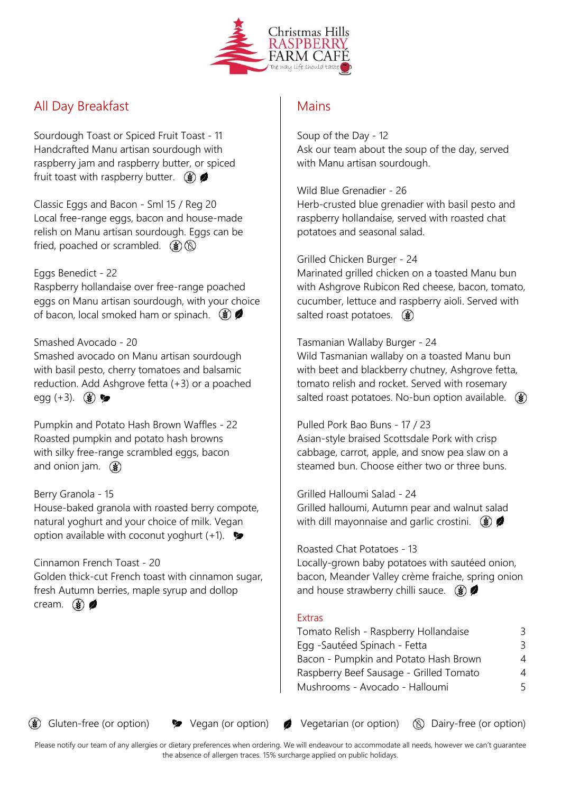

## All Day Breakfast

Sourdough Toast or Spiced Fruit Toast - 11 Handcrafted Manu artisan sourdough with raspberry jam and raspberry butter, or spiced fruit toast with raspberry butter.  $\circledast$ 

Classic Eggs and Bacon - Sml 15 / Reg 20 Local free-range eggs, bacon and house-made relish on Manu artisan sourdough. Eggs can be fried, poached or scrambled.  $\circledast$ 

### Eggs Benedict - 22

Raspberry hollandaise over free-range poached eggs on Manu artisan sourdough, with your choice of bacon, local smoked ham or spinach.  $\circledast$ 

### Smashed Avocado - 20

Smashed avocado on Manu artisan sourdough with basil pesto, cherry tomatoes and balsamic reduction. Add Ashgrove fetta (+3) or a poached egg  $(+3)$ .  $(*)$ 

Pumpkin and Potato Hash Brown Waffles - 22 Roasted pumpkin and potato hash browns with silky free-range scrambled eggs, bacon and onion jam.  $\circled{})$ 

### Berry Granola - 15

House-baked granola with roasted berry compote, natural yoghurt and your choice of milk. Vegan option available with coconut yoghurt  $(+1)$ .

### Cinnamon French Toast - 20

Golden thick-cut French toast with cinnamon sugar, fresh Autumn berries, maple syrup and dollop cream.  $\circled{}) \bullet$ 

### **Mains**

Soup of the Day - 12 Ask our team about the soup of the day, served with Manu artisan sourdough.

### Wild Blue Grenadier - 26

Herb-crusted blue grenadier with basil pesto and raspberry hollandaise, served with roasted chat potatoes and seasonal salad.

### Grilled Chicken Burger - 24

Marinated grilled chicken on a toasted Manu bun with Ashgrove Rubicon Red cheese, bacon, tomato, cucumber, lettuce and raspberry aioli. Served with salted roast potatoes.  $\circled{})$ 

#### Tasmanian Wallaby Burger - 24

Wild Tasmanian wallaby on a toasted Manu bun with beet and blackberry chutney, Ashgrove fetta, tomato relish and rocket. Served with rosemary salted roast potatoes. No-bun option available.  $\circledast$ 

### Pulled Pork Bao Buns - 17 / 23

Asian-style braised Scottsdale Pork with crisp cabbage, carrot, apple, and snow pea slaw on a steamed bun. Choose either two or three buns.

Grilled Halloumi Salad - 24 Grilled halloumi, Autumn pear and walnut salad with dill mayonnaise and garlic crostini.  $\circledast$ 

### Roasted Chat Potatoes - 13

Locally-grown baby potatoes with sautéed onion, bacon, Meander Valley crème fraiche, spring onion and house strawberry chilli sauce.  $\circledast$ 

### Extras

| Tomato Relish - Raspberry Hollandaise   | К. |
|-----------------------------------------|----|
| Egg - Sautéed Spinach - Fetta           | 3. |
| Bacon - Pumpkin and Potato Hash Brown   | 4  |
| Raspberry Beef Sausage - Grilled Tomato | 4  |
| Mushrooms - Avocado - Halloumi          | 5. |
|                                         |    |

 $\circledast$  Gluten-free (or option)  $\bullet$  Vegan (or option)  $\bullet$  Vegetarian (or option)  $\circledast$  Dairy-free (or option)

Please notify our team of any allergies or dietary preferences when ordering. We will endeavour to accommodate all needs, however we can't guarantee the absence of allergen traces. 15% surcharge applied on public holidays.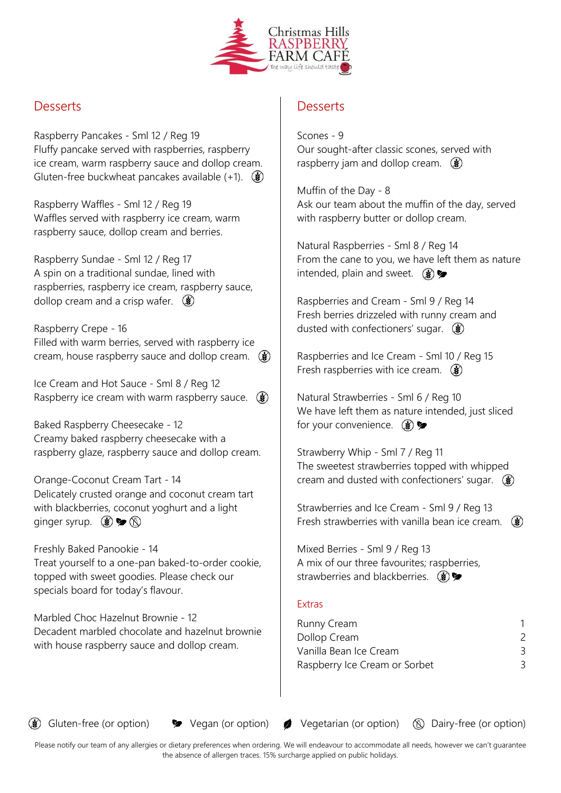

## **Desserts**

Raspberry Pancakes - Sml 12 / Reg 19 Fluffy pancake served with raspberries, raspberry ice cream, warm raspberry sauce and dollop cream. Gluten-free buckwheat pancakes available  $(+1)$ .  $(3)$ 

Raspberry Waffles - Sml 12 / Reg 19 Waffles served with raspberry ice cream, warm raspberry sauce, dollop cream and berries.

Raspberry Sundae - Sml 12 / Reg 17 A spin on a traditional sundae, lined with raspberries, raspberry ice cream, raspberry sauce, dollop cream and a crisp wafer.  $\circledast$ 

Raspberry Crepe - 16 Filled with warm berries, served with raspberry ice cream, house raspberry sauce and dollop cream. ( $\circledast$ )

Ice Cream and Hot Sauce - Sml 8 / Reg 12 Raspberry ice cream with warm raspberry sauce.  $\circledast$ 

Baked Raspberry Cheesecake - 12 Creamy baked raspberry cheesecake with a raspberry glaze, raspberry sauce and dollop cream.

Orange-Coconut Cream Tart - 14 Delicately crusted orange and coconut cream tart with blackberries, coconut yoghurt and a light ginger syrup.  $\circledast \blacktriangleright \circledast$ 

Freshly Baked Panookie - 14 Treat yourself to a one-pan baked-to-order cookie, topped with sweet goodies. Please check our specials board for today's flavour.

Marbled Choc Hazelnut Brownie - 12 Decadent marbled chocolate and hazelnut brownie with house raspberry sauce and dollop cream.

## **Desserts**

Scones - 9 Our sought-after classic scones, served with raspberry jam and dollop cream.  $\circledast$ 

Muffin of the Day - 8 Ask our team about the muffin of the day, served with raspberry butter or dollop cream.

Natural Raspberries - Sml 8 / Reg 14 From the cane to you, we have left them as nature intended, plain and sweet.  $\circledast$ 

Raspberries and Cream - Sml 9 / Reg 14 Fresh berries drizzeled with runny cream and dusted with confectioners' sugar.  $\circledast$ 

Raspberries and Ice Cream - Sml 10 / Reg 15 Fresh raspberries with ice cream.  $\circledast$ 

Natural Strawberries - Sml 6 / Reg 10 We have left them as nature intended, just sliced for your convenience.  $\circledast\blacktriangleright$ 

Strawberry Whip - Sml 7 / Reg 11 The sweetest strawberries topped with whipped cream and dusted with confectioners' sugar.  $\circledast$ 

Strawberries and Ice Cream - Sml 9 / Reg 13 Fresh strawberries with vanilla bean ice cream.  $\circledast$ 

Mixed Berries - Sml 9 / Reg 13 A mix of our three favourites; raspberries, strawberries and blackberries.  $(\mathbf{\hat{s}})$ 

### **Extras**

| Runny Cream                   |   |
|-------------------------------|---|
| Dollop Cream                  | 2 |
| Vanilla Bean Ice Cream        | 3 |
| Raspberry Ice Cream or Sorbet | 3 |

 $\circledast$  Gluten-free (or option)  $\bullet$  Vegan (or option)  $\bullet$  Vegetarian (or option)  $\circledast$  Dairy-free (or option)

Please notify our team of any allergies or dietary preferences when ordering. We will endeavour to accommodate all needs, however we can't guarantee the absence of allergen traces. 15% surcharge applied on public holidays.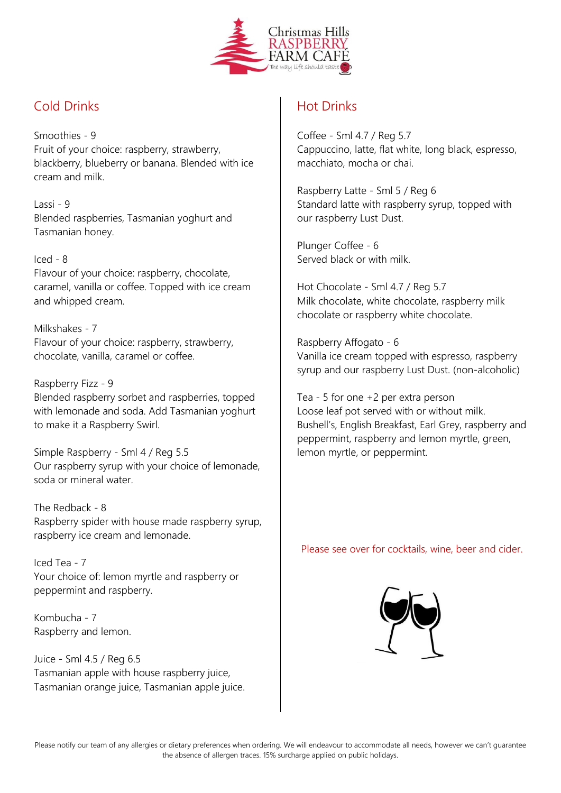

# Cold Drinks

Smoothies - 9 Fruit of your choice: raspberry, strawberry, blackberry, blueberry or banana. Blended with ice cream and milk.

Lassi - 9 Blended raspberries, Tasmanian yoghurt and Tasmanian honey.

### Iced - 8

Flavour of your choice: raspberry, chocolate, caramel, vanilla or coffee. Topped with ice cream and whipped cream.

Milkshakes - 7 Flavour of your choice: raspberry, strawberry, chocolate, vanilla, caramel or coffee.

Raspberry Fizz - 9 Blended raspberry sorbet and raspberries, topped with lemonade and soda. Add Tasmanian yoghurt to make it a Raspberry Swirl.

Simple Raspberry - Sml 4 / Reg 5.5 Our raspberry syrup with your choice of lemonade, soda or mineral water.

The Redback - 8 Raspberry spider with house made raspberry syrup, raspberry ice cream and lemonade.

Iced Tea - 7 Your choice of: lemon myrtle and raspberry or peppermint and raspberry.

Kombucha - 7 Raspberry and lemon.

Juice - Sml 4.5 / Reg 6.5 Tasmanian apple with house raspberry juice, Tasmanian orange juice, Tasmanian apple juice.

# Hot Drinks

Coffee - Sml 4.7 / Reg 5.7 Cappuccino, latte, flat white, long black, espresso, macchiato, mocha or chai.

Raspberry Latte - Sml 5 / Reg 6 Standard latte with raspberry syrup, topped with our raspberry Lust Dust.

Plunger Coffee - 6 Served black or with milk.

Hot Chocolate - Sml 4.7 / Reg 5.7 Milk chocolate, white chocolate, raspberry milk chocolate or raspberry white chocolate.

Raspberry Affogato - 6 Vanilla ice cream topped with espresso, raspberry syrup and our raspberry Lust Dust. (non-alcoholic)

Tea - 5 for one +2 per extra person Loose leaf pot served with or without milk. Bushell's, English Breakfast, Earl Grey, raspberry and peppermint, raspberry and lemon myrtle, green, lemon myrtle, or peppermint.

Please see over for cocktails, wine, beer and cider.